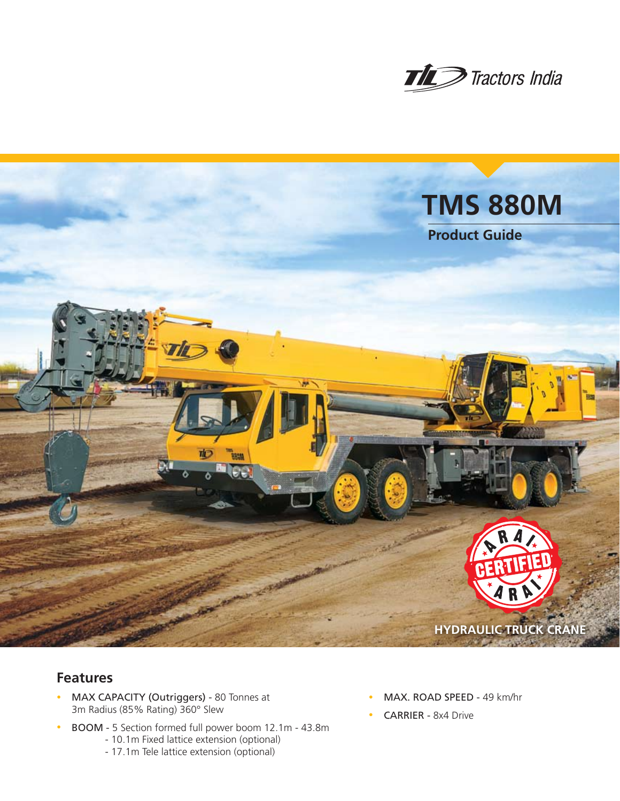



# **Features**

- MAX CAPACITY (Outriggers) 80 Tonnes at 3m Radius (85% Rating) 360° Slew
- <sup>n</sup> BOOM 5 Section formed full power boom 12.1m 43.8m - 10.1m Fixed lattice extension (optional)
	- 17.1m Tele lattice extension (optional)
- MAX. ROAD SPEED 49 km/hr
- CARRIER 8x4 Drive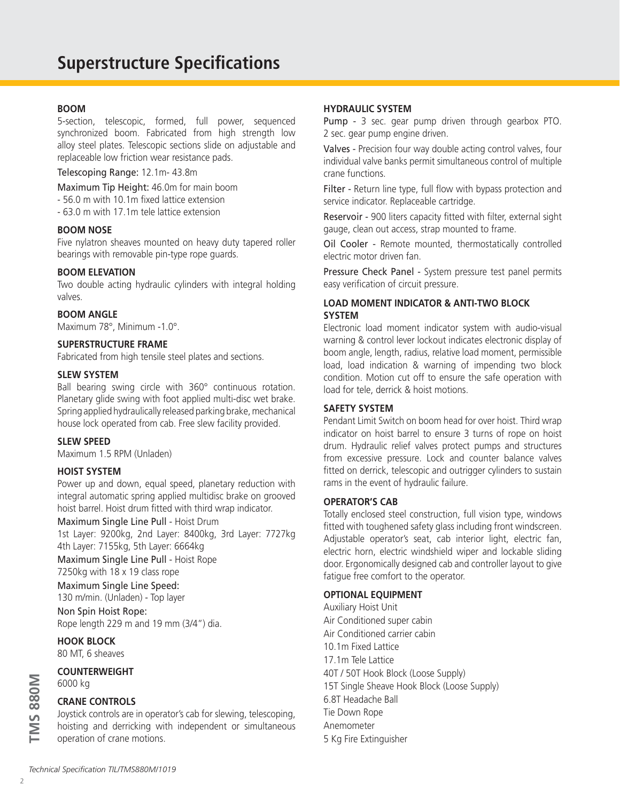#### **BOOM**

5-section, telescopic, formed, full power, sequenced synchronized boom. Fabricated from high strength low alloy steel plates. Telescopic sections slide on adjustable and replaceable low friction wear resistance pads.

Telescoping Range: 12.1m- 43.8m

Maximum Tip Height: 46.0m for main boom

- 56.0 m with 10.1m fixed lattice extension
- 63.0 m with 17.1m tele lattice extension

#### **BOOM NOSE**

Five nylatron sheaves mounted on heavy duty tapered roller bearings with removable pin-type rope guards.

#### **BOOM ELEVATION**

Two double acting hydraulic cylinders with integral holding valves.

## **BOOM ANGLE**

Maximum 78°, Minimum -1.0°.

## **SUPERSTRUCTURE FRAME**

Fabricated from high tensile steel plates and sections.

#### **SLEW SYSTEM**

Ball bearing swing circle with 360° continuous rotation. Planetary glide swing with foot applied multi-disc wet brake. Spring applied hydraulically released parking brake, mechanical house lock operated from cab. Free slew facility provided.

#### **SLEW SPEED**

Maximum 1.5 RPM (Unladen)

#### **HOIST SYSTEM**

Power up and down, equal speed, planetary reduction with integral automatic spring applied multidisc brake on grooved hoist barrel. Hoist drum fitted with third wrap indicator.

Maximum Single Line Pull - Hoist Drum

1st Layer: 9200kg, 2nd Layer: 8400kg, 3rd Layer: 7727kg 4th Layer: 7155kg, 5th Layer: 6664kg

Maximum Single Line Pull - Hoist Rope 7250kg with 18 x 19 class rope

#### Maximum Single Line Speed:

130 m/min. (Unladen) - Top layer

Non Spin Hoist Rope: Rope length 229 m and 19 mm (3/4") dia.

**HOOK BLOCK** 80 MT, 6 sheaves

#### **COUNTERWEIGHT** 6000 kg

# **CRANE CONTROLS**

Joystick controls are in operator's cab for slewing, telescoping, hoisting and derricking with independent or simultaneous operation of crane motions.

#### **HYDRAULIC SYSTEM**

Pump - 3 sec. gear pump driven through gearbox PTO. 2 sec. gear pump engine driven.

Valves - Precision four way double acting control valves, four individual valve banks permit simultaneous control of multiple crane functions.

Filter - Return line type, full flow with bypass protection and service indicator. Replaceable cartridge.

Reservoir - 900 liters capacity fitted with filter, external sight gauge, clean out access, strap mounted to frame.

Oil Cooler - Remote mounted, thermostatically controlled electric motor driven fan.

Pressure Check Panel - System pressure test panel permits easy verification of circuit pressure.

# **LOAD MOMENT INDICATOR & ANTI-TWO BLOCK SYSTEM**

Electronic load moment indicator system with audio-visual warning & control lever lockout indicates electronic display of boom angle, length, radius, relative load moment, permissible load, load indication & warning of impending two block condition. Motion cut off to ensure the safe operation with load for tele, derrick & hoist motions.

#### **SAFETY SYSTEM**

Pendant Limit Switch on boom head for over hoist. Third wrap indicator on hoist barrel to ensure 3 turns of rope on hoist drum. Hydraulic relief valves protect pumps and structures from excessive pressure. Lock and counter balance valves fitted on derrick, telescopic and outrigger cylinders to sustain rams in the event of hydraulic failure.

#### **OPERATOR'S CAB**

Totally enclosed steel construction, full vision type, windows fitted with toughened safety glass including front windscreen. Adjustable operator's seat, cab interior light, electric fan, electric horn, electric windshield wiper and lockable sliding door. Ergonomically designed cab and controller layout to give fatigue free comfort to the operator.

#### **OPTIONAL EQUIPMENT**

Auxiliary Hoist Unit Air Conditioned super cabin Air Conditioned carrier cabin 10.1m Fixed Lattice 17.1m Tele Lattice 40T / 50T Hook Block (Loose Supply) 15T Single Sheave Hook Block (Loose Supply) 6.8T Headache Ball Tie Down Rope Anemometer 5 Kg Fire Extinguisher

*Technical Specification TIL/TMS880M/1019*

**TMS 880M**

**IMS 880M**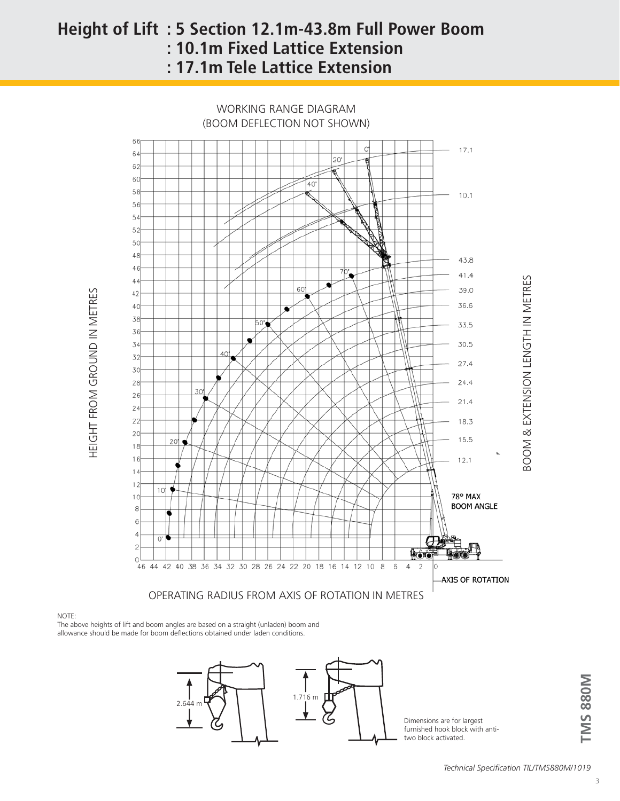# **Height of Lift : 5 Section 12.1m-43.8m Full Power Boom : 10.1m Fixed Lattice Extension : 17.1m Tele Lattice Extension**

WORKING RANGE DIAGRAM (BOOM DEFLECTION NOT SHOWN)



#### NOTE:

HEIGHT FROM GROUND IN METRES

HEIGHT FROM GROUND IN METRES

The above heights of lift and boom angles are based on a straight (unladen) boom and allowance should be made for boom deflections obtained under laden conditions.



Dimensions are for largest furnished hook block with antitwo block activated.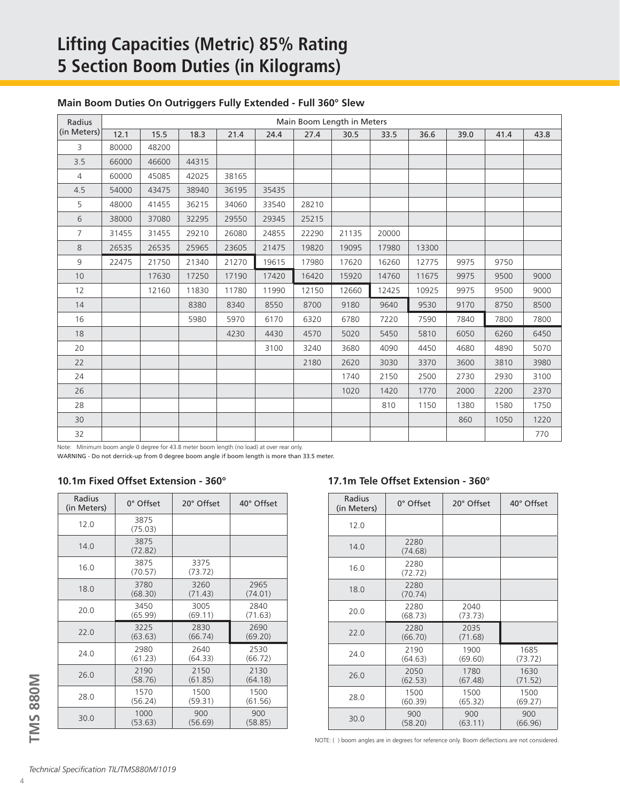# **Lifting Capacities (Metric) 85% Rating 5 Section Boom Duties (in Kilograms)**

# **Main Boom Duties On Outriggers Fully Extended - Full 360° Slew**

| Radius         | Main Boom Length in Meters |       |       |       |       |       |       |       |       |      |      |      |  |
|----------------|----------------------------|-------|-------|-------|-------|-------|-------|-------|-------|------|------|------|--|
| (in Meters)    | 12.1                       | 15.5  | 18.3  | 21.4  | 24.4  | 27.4  | 30.5  | 33.5  | 36.6  | 39.0 | 41.4 | 43.8 |  |
| 3              | 80000                      | 48200 |       |       |       |       |       |       |       |      |      |      |  |
| 3.5            | 66000                      | 46600 | 44315 |       |       |       |       |       |       |      |      |      |  |
| $\overline{4}$ | 60000                      | 45085 | 42025 | 38165 |       |       |       |       |       |      |      |      |  |
| 4.5            | 54000                      | 43475 | 38940 | 36195 | 35435 |       |       |       |       |      |      |      |  |
| 5              | 48000                      | 41455 | 36215 | 34060 | 33540 | 28210 |       |       |       |      |      |      |  |
| 6              | 38000                      | 37080 | 32295 | 29550 | 29345 | 25215 |       |       |       |      |      |      |  |
| $\overline{7}$ | 31455                      | 31455 | 29210 | 26080 | 24855 | 22290 | 21135 | 20000 |       |      |      |      |  |
| $8\,$          | 26535                      | 26535 | 25965 | 23605 | 21475 | 19820 | 19095 | 17980 | 13300 |      |      |      |  |
| 9              | 22475                      | 21750 | 21340 | 21270 | 19615 | 17980 | 17620 | 16260 | 12775 | 9975 | 9750 |      |  |
| 10             |                            | 17630 | 17250 | 17190 | 17420 | 16420 | 15920 | 14760 | 11675 | 9975 | 9500 | 9000 |  |
| 12             |                            | 12160 | 11830 | 11780 | 11990 | 12150 | 12660 | 12425 | 10925 | 9975 | 9500 | 9000 |  |
| 14             |                            |       | 8380  | 8340  | 8550  | 8700  | 9180  | 9640  | 9530  | 9170 | 8750 | 8500 |  |
| 16             |                            |       | 5980  | 5970  | 6170  | 6320  | 6780  | 7220  | 7590  | 7840 | 7800 | 7800 |  |
| 18             |                            |       |       | 4230  | 4430  | 4570  | 5020  | 5450  | 5810  | 6050 | 6260 | 6450 |  |
| 20             |                            |       |       |       | 3100  | 3240  | 3680  | 4090  | 4450  | 4680 | 4890 | 5070 |  |
| 22             |                            |       |       |       |       | 2180  | 2620  | 3030  | 3370  | 3600 | 3810 | 3980 |  |
| 24             |                            |       |       |       |       |       | 1740  | 2150  | 2500  | 2730 | 2930 | 3100 |  |
| 26             |                            |       |       |       |       |       | 1020  | 1420  | 1770  | 2000 | 2200 | 2370 |  |
| 28             |                            |       |       |       |       |       |       | 810   | 1150  | 1380 | 1580 | 1750 |  |
| 30             |                            |       |       |       |       |       |       |       |       | 860  | 1050 | 1220 |  |
| 32             |                            |       |       |       |       |       |       |       |       |      |      | 770  |  |

Note: Minimum boom angle 0 degree for 43.8 meter boom length (no load) at over rear only.

WARNING - Do not derrick-up from 0 degree boom angle if boom length is more than 33.5 meter.

## **10.1m Fixed Offset Extension - 360° 17.1m Tele Offset Extension - 360°**

| Radius<br>(in Meters) | $0^\circ$ Offset | 20° Offset      | 40° Offset |
|-----------------------|------------------|-----------------|------------|
| 12.0                  | 3875<br>(75.03)  |                 |            |
| 14.0                  | 3875<br>(72.82)  |                 |            |
| 16.0                  | 3875<br>(70.57)  | 3375<br>(73.72) |            |
| 18.0                  | 3780             | 3260            | 2965       |
|                       | (68.30)          | (71.43)         | (74.01)    |
| 20.0                  | 3450             | 3005            | 2840       |
|                       | (65.99)          | (69.11)         | (71.63)    |
| 22.0                  | 3225             | 2830            | 2690       |
|                       | (63.63)          | (66.74)         | (69.20)    |
| 24.0                  | 2980             | 2640            | 2530       |
|                       | (61.23)          | (64.33)         | (66.72)    |
| 26.0                  | 2190             | 2150            | 2130       |
|                       | (58.76)          | (61.85)         | (64.18)    |
| 28.0                  | 1570             | 1500            | 1500       |
|                       | (56.24)          | (59.31)         | (61.56)    |
| 30.0                  | 1000             | 900             | 900        |
|                       | (53.63)          | (56.69)         | (58.85)    |

| Radius<br>(in Meters) | $0^\circ$ Offset | 20° Offset      | 40° Offset      |
|-----------------------|------------------|-----------------|-----------------|
| 12.0                  |                  |                 |                 |
| 14.0                  | 2280<br>(74.68)  |                 |                 |
| 16.0                  | 2280<br>(72.72)  |                 |                 |
| 18.0                  | 2280<br>(70.74)  |                 |                 |
| 20.0                  | 2280<br>(68.73)  | 2040<br>(73.73) |                 |
| 22.0                  | 2280<br>(66.70)  | 2035<br>(71.68) |                 |
| 24.0                  | 2190<br>(64.63)  | 1900<br>(69.60) | 1685<br>(73.72) |
| 26.0                  | 2050<br>(62.53)  | 1780<br>(67.48) | 1630<br>(71.52) |
| 28.0                  | 1500<br>(60.39)  | 1500<br>(65.32) | 1500<br>(69.27) |
| 30.0                  | 900<br>(58.20)   | 900<br>(63.11)  | 900<br>(66.96)  |

NOTE: ( ) boom angles are in degrees for reference only. Boom deflections are not considered.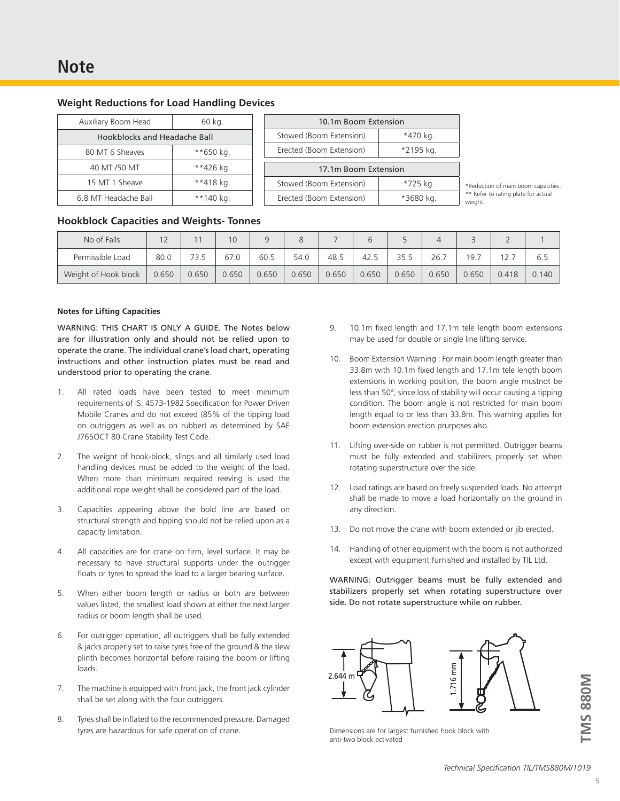| <b>Weight Reductions for Load Handling Devices</b> |  |  |
|----------------------------------------------------|--|--|
|----------------------------------------------------|--|--|

| Auxiliary Boom Head          | 60 kg.    |  |  |  |  |  |
|------------------------------|-----------|--|--|--|--|--|
| Hookblocks and Headache Ball |           |  |  |  |  |  |
| 80 MT 6 Sheaves              | **650 kg. |  |  |  |  |  |
| 40 MT /50 MT                 | **426 kg. |  |  |  |  |  |
| 15 MT 1 Sheave               | **418 kg. |  |  |  |  |  |
| 6.8 MT Headache Ball         | **140 kg. |  |  |  |  |  |

| 10.1m Boom Extension     |           |  |  |  |  |  |
|--------------------------|-----------|--|--|--|--|--|
| Stowed (Boom Extension)  | *470 kg.  |  |  |  |  |  |
| Erected (Boom Extension) | *2195 kg. |  |  |  |  |  |
|                          |           |  |  |  |  |  |
| 17.1m Boom Extension     |           |  |  |  |  |  |
| Stowed (Boom Extension)  | *725 kg.  |  |  |  |  |  |

\*Reduction of main boom capacities. \*\* Refer to rating plate for actual weight.

#### **Hookblock Capacities and Weights- Tonnes**

| No of Falls          | 12    |       | 10    |       | Ŏ     |       |       |       |       |       |       |       |
|----------------------|-------|-------|-------|-------|-------|-------|-------|-------|-------|-------|-------|-------|
| Permissible Load     | 80.0  |       | 67.0  | 60.5  | 54.0  | 48.5  | 42.5  | 35.5  | 26.   | 19.7  |       | 6.5   |
| Weight of Hook block | 0.650 | 0.650 | 0.650 | 0.650 | 0.650 | 0.650 | 0.650 | 0.650 | 0.650 | 0.650 | 0.418 | 0.140 |

#### **Notes for Lifting Capacities**

WARNING: THIS CHART IS ONLY A GUIDE. The Notes below are for illustration only and should not be relied upon to operate the crane. The individual crane's load chart, operating instructions and other instruction plates must be read and understood prior to operating the crane.

- 1. All rated loads have been tested to meet minimum requirements of IS: 4573-1982 Specification for Power Driven Mobile Cranes and do not exceed (85% of the tipping load on outriggers as well as on rubber) as determined by SAE J765OCT 80 Crane Stability Test Code.
- 2. The weight of hook-block, slings and all similarly used load handling devices must be added to the weight of the load. When more than minimum required reeving is used the additional rope weight shall be considered part of the load.
- 3. Capacities appearing above the bold line are based on structural strength and tipping should not be relied upon as a capacity limitation.
- 4. All capacities are for crane on firm, level surface. It may be necessary to have structural supports under the outrigger floats or tyres to spread the load to a larger bearing surface.
- 5. When either boom length or radius or both are between values listed, the smallest load shown at either the next larger radius or boom length shall be used.
- 6. For outrigger operation, all outriggers shall be fully extended & jacks properly set to raise tyres free of the ground & the slew plinth becomes horizontal before raising the boom or lifting loads.
- 7. The machine is equipped with front jack, the front jack cylinder shall be set along with the four outriggers.
- 8. Tyres shall be inflated to the recommended pressure. Damaged tyres are hazardous for safe operation of crane.
- 9. 10.1m fixed length and 17.1m tele length boom extensions may be used for double or single line lifting service.
- 10. Boom Extension Warning : For main boom length greater than 33.8m with 10.1m fixed length and 17.1m tele length boom extensions in working position, the boom angle mustnot be less than 50°, since loss of stability will occur causing a tipping condition. The boom angle is not restricted for main boom length equal to or less than 33.8m. This warning applies for boom extension erection prurposes also.
- 11. Lifting over-side on rubber is not permitted. Outrigger beams must be fully extended and stabilizers properly set when rotating superstructure over the side.
- 12. Load ratings are based on freely suspended loads. No attempt shall be made to move a load horizontally on the ground in any direction.
- 13. Do not move the crane with boom extended or jib erected.
- 14. Handling of other equipment with the boom is not authorized except with equipment furnished and installed by TIL Ltd.

WARNING: Outrigger beams must be fully extended and stabilizers properly set when rotating superstructure over side. Do not rotate superstructure while on rubber.



Dimensions are for largest furnished hook block with anti-two block activated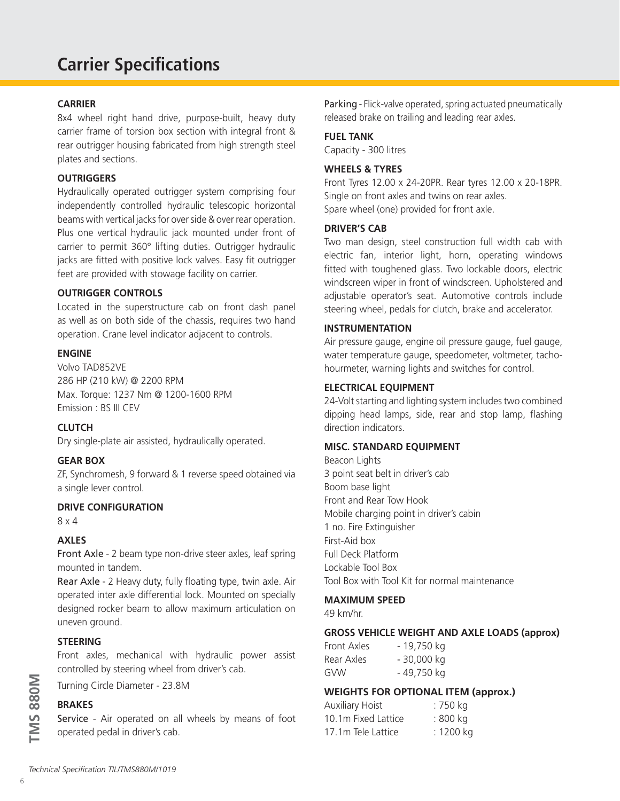# **Carrier Specifications**

#### **CARRIER**

8x4 wheel right hand drive, purpose-built, heavy duty carrier frame of torsion box section with integral front & rear outrigger housing fabricated from high strength steel plates and sections.

## **OUTRIGGERS**

Hydraulically operated outrigger system comprising four independently controlled hydraulic telescopic horizontal beams with vertical jacks for over side & over rear operation. Plus one vertical hydraulic jack mounted under front of carrier to permit 360° lifting duties. Outrigger hydraulic jacks are fitted with positive lock valves. Easy fit outrigger feet are provided with stowage facility on carrier.

#### **OUTRIGGER CONTROLS**

Located in the superstructure cab on front dash panel as well as on both side of the chassis, requires two hand operation. Crane level indicator adjacent to controls.

#### **ENGINE**

Volvo TAD852VE 286 HP (210 kW) @ 2200 RPM Max. Torque: 1237 Nm @ 1200-1600 RPM Emission : BS III CEV

## **CLUTCH**

Dry single-plate air assisted, hydraulically operated.

#### **GEAR BOX**

ZF, Synchromesh, 9 forward & 1 reverse speed obtained via a single lever control.

#### **DRIVE CONFIGURATION**

8 x 4

#### **AXLES**

Front Axle - 2 beam type non-drive steer axles, leaf spring mounted in tandem.

Rear Axle - 2 Heavy duty, fully floating type, twin axle. Air operated inter axle differential lock. Mounted on specially designed rocker beam to allow maximum articulation on uneven ground.

#### **STEERING**

Front axles, mechanical with hydraulic power assist controlled by steering wheel from driver's cab.

Turning Circle Diameter - 23.8M

#### **BRAKES**

Service - Air operated on all wheels by means of foot operated pedal in driver's cab.

Parking - Flick-valve operated, spring actuated pneumatically released brake on trailing and leading rear axles.

#### **FUEL TANK**

Capacity - 300 litres

#### **WHEELS & TYRES**

Front Tyres 12.00 x 24-20PR. Rear tyres 12.00 x 20-18PR. Single on front axles and twins on rear axles. Spare wheel (one) provided for front axle.

#### **DRIVER'S CAB**

Two man design, steel construction full width cab with electric fan, interior light, horn, operating windows fitted with toughened glass. Two lockable doors, electric windscreen wiper in front of windscreen. Upholstered and adjustable operator's seat. Automotive controls include steering wheel, pedals for clutch, brake and accelerator.

#### **INSTRUMENTATION**

Air pressure gauge, engine oil pressure gauge, fuel gauge, water temperature gauge, speedometer, voltmeter, tachohourmeter, warning lights and switches for control.

#### **ELECTRICAL EQUIPMENT**

24-Volt starting and lighting system includes two combined dipping head lamps, side, rear and stop lamp, flashing direction indicators.

## **MISC. STANDARD EQUIPMENT**

Beacon Lights 3 point seat belt in driver's cab Boom base light Front and Rear Tow Hook Mobile charging point in driver's cabin 1 no. Fire Extinguisher First-Aid box Full Deck Platform Lockable Tool Box Tool Box with Tool Kit for normal maintenance

## **MAXIMUM SPEED**

49 km/hr.

#### **GROSS VEHICLE WEIGHT AND AXLE LOADS (approx)**

| Front Axles | - 19,750 kg |
|-------------|-------------|
| Rear Axles  | - 30,000 kg |
| GVW         | - 49,750 kg |

## **WEIGHTS FOR OPTIONAL ITEM (approx.)**

| <b>Auxiliary Hoist</b> | : 750 kg  |
|------------------------|-----------|
| 10.1m Fixed Lattice    | : 800 kg  |
| 17.1m Tele Lattice     | : 1200 kg |

**TMS 880M**

**IMS 880M**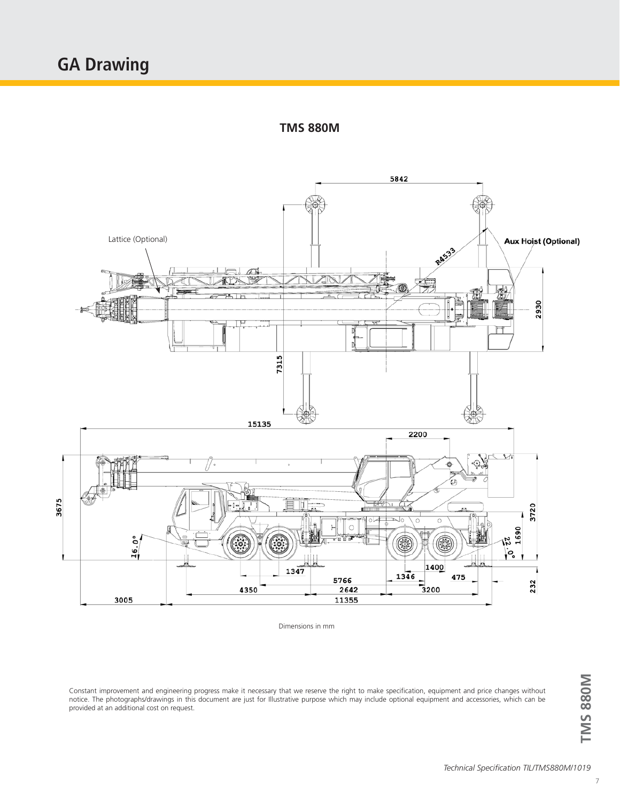**TMS 880M**



Dimensions in mm

Constant improvement and engineering progress make it necessary that we reserve the right to make specification, equipment and price changes without notice. The photographs/drawings in this document are just for Illustrative purpose which may include optional equipment and accessories, which can be provided at an additional cost on request.